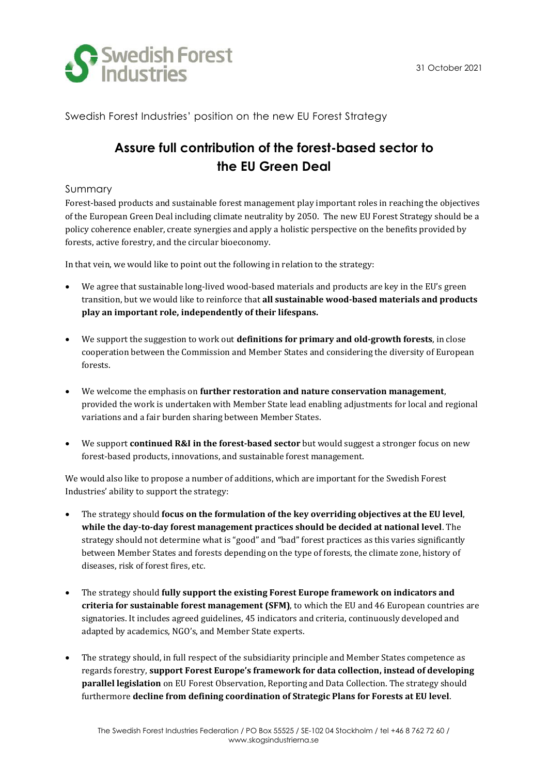

Swedish Forest Industries' position on the new EU Forest Strategy

# **Assure full contribution of the forest-based sector to the EU Green Deal**

## Summary

Forest-based products and sustainable forest management play important roles in reaching the objectives of the European Green Deal including climate neutrality by 2050. The new EU Forest Strategy should be a policy coherence enabler, create synergies and apply a holistic perspective on the benefits provided by forests, active forestry, and the circular bioeconomy.

In that vein, we would like to point out the following in relation to the strategy:

- We agree that sustainable long-lived wood-based materials and products are key in the EU's green transition, but we would like to reinforce that **all sustainable wood-based materials and products play an important role, independently of their lifespans.**
- We support the suggestion to work out **definitions for primary and old-growth forests**, in close cooperation between the Commission and Member States and considering the diversity of European forests.
- We welcome the emphasis on **further restoration and nature conservation management**, provided the work is undertaken with Member State lead enabling adjustments for local and regional variations and a fair burden sharing between Member States.
- We support **continued R&I in the forest-based sector** but would suggest a stronger focus on new forest-based products, innovations, and sustainable forest management.

We would also like to propose a number of additions, which are important for the Swedish Forest Industries' ability to support the strategy:

- The strategy should **focus on the formulation of the key overriding objectives at the EU level**, **while the day-to-day forest management practices should be decided at national level**. The strategy should not determine what is "good" and "bad" forest practices as this varies significantly between Member States and forests depending on the type of forests, the climate zone, history of diseases, risk of forest fires, etc.
- The strategy should **fully support the existing Forest Europe framework on indicators and criteria for sustainable forest management (SFM)**, to which the EU and 46 European countries are signatories. It includes agreed guidelines, 45 indicators and criteria, continuously developed and adapted by academics, NGO's, and Member State experts.
- The strategy should, in full respect of the subsidiarity principle and Member States competence as regards forestry, **support Forest Europe's framework for data collection, instead of developing parallel legislation** on EU Forest Observation, Reporting and Data Collection. The strategy should furthermore **decline from defining coordination of Strategic Plans for Forests at EU level**.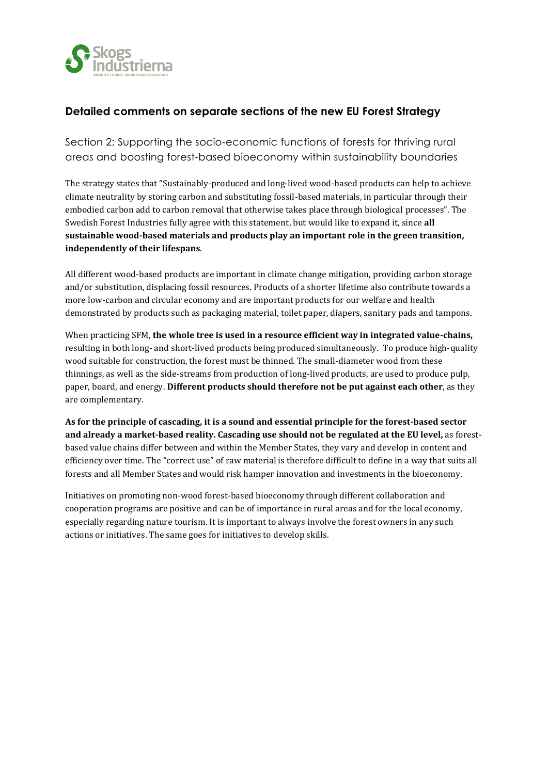

# **Detailed comments on separate sections of the new EU Forest Strategy**

Section 2: Supporting the socio-economic functions of forests for thriving rural areas and boosting forest-based bioeconomy within sustainability boundaries

The strategy states that "Sustainably-produced and long-lived wood-based products can help to achieve climate neutrality by storing carbon and substituting fossil-based materials, in particular through their embodied carbon add to carbon removal that otherwise takes place through biological processes". The Swedish Forest Industries fully agree with this statement, but would like to expand it, since **all sustainable wood-based materials and products play an important role in the green transition, independently of their lifespans**.

All different wood-based products are important in climate change mitigation, providing carbon storage and/or substitution, displacing fossil resources. Products of a shorter lifetime also contribute towards a more low-carbon and circular economy and are important products for our welfare and health demonstrated by products such as packaging material, toilet paper, diapers, sanitary pads and tampons.

When practicing SFM, **the whole tree is used in a resource efficient way in integrated value-chains,**  resulting in both long- and short-lived products being produced simultaneously. To produce high-quality wood suitable for construction, the forest must be thinned. The small-diameter wood from these thinnings, as well as the side-streams from production of long-lived products, are used to produce pulp, paper, board, and energy. **Different products should therefore not be put against each other**, as they are complementary.

**As for the principle of cascading, it is a sound and essential principle for the forest-based sector and already a market-based reality. Cascading use should not be regulated at the EU level,** as forestbased value chains differ between and within the Member States, they vary and develop in content and efficiency over time. The "correct use" of raw material is therefore difficult to define in a way that suits all forests and all Member States and would risk hamper innovation and investments in the bioeconomy.

Initiatives on promoting non-wood forest-based bioeconomy through different collaboration and cooperation programs are positive and can be of importance in rural areas and for the local economy, especially regarding nature tourism. It is important to always involve the forest owners in any such actions or initiatives. The same goes for initiatives to develop skills.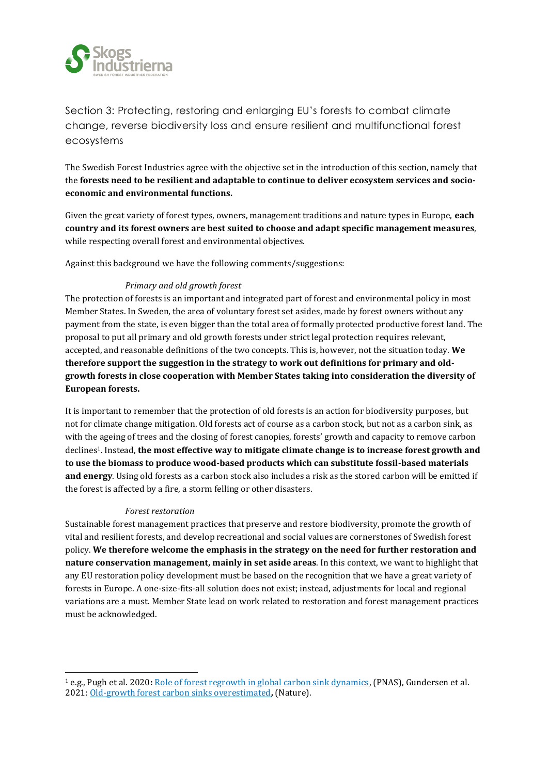

Section 3: Protecting, restoring and enlarging EU's forests to combat climate change, reverse biodiversity loss and ensure resilient and multifunctional forest ecosystems

The Swedish Forest Industries agree with the objective set in the introduction of this section, namely that the **forests need to be resilient and adaptable to continue to deliver ecosystem services and socioeconomic and environmental functions.** 

Given the great variety of forest types, owners, management traditions and nature types in Europe, **each country and its forest owners are best suited to choose and adapt specific management measures**, while respecting overall forest and environmental objectives.

Against this background we have the following comments/suggestions:

## *Primary and old growth forest*

The protection of forests is an important and integrated part of forest and environmental policy in most Member States. In Sweden, the area of voluntary forest set asides, made by forest owners without any payment from the state, is even bigger than the total area of formally protected productive forest land. The proposal to put all primary and old growth forests under strict legal protection requires relevant, accepted, and reasonable definitions of the two concepts. This is, however, not the situation today. **We therefore support the suggestion in the strategy to work out definitions for primary and oldgrowth forests in close cooperation with Member States taking into consideration the diversity of European forests.** 

It is important to remember that the protection of old forests is an action for biodiversity purposes, but not for climate change mitigation. Old forests act of course as a carbon stock, but not as a carbon sink, as with the ageing of trees and the closing of forest canopies, forests' growth and capacity to remove carbon declines1. Instead, **the most effective way to mitigate climate change is to increase forest growth and to use the biomass to produce wood-based products which can substitute fossil-based materials and energy**. Using old forests as a carbon stock also includes a risk as the stored carbon will be emitted if the forest is affected by a fire, a storm felling or other disasters.

#### *Forest restoration*

Sustainable forest management practices that preserve and restore biodiversity, promote the growth of vital and resilient forests, and develop recreational and social values are cornerstones of Swedish forest policy. **We therefore welcome the emphasis in the strategy on the need for further restoration and nature conservation management, mainly in set aside areas**. In this context, we want to highlight that any EU restoration policy development must be based on the recognition that we have a great variety of forests in Europe. A one-size-fits-all solution does not exist; instead, adjustments for local and regional variations are a must. Member State lead on work related to restoration and forest management practices must be acknowledged.

<sup>1</sup> e.g., Pugh et al. 2020**:** [Role of forest regrowth in global carbon sink dynamics,](https://www.pnas.org/content/116/10/4382) (PNAS), Gundersen et al. 2021: [Old-growth forest carbon sinks overestimated](https://www.nature.com/articles/s41586-021-03266-z)**,** (Nature).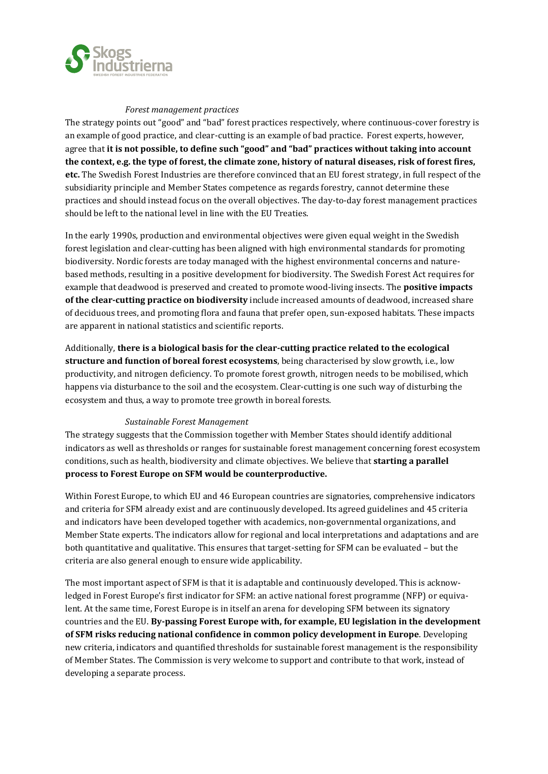

#### *Forest management practices*

The strategy points out "good" and "bad" forest practices respectively, where continuous-cover forestry is an example of good practice, and clear-cutting is an example of bad practice. Forest experts, however, agree that **it is not possible, to define such "good" and "bad" practices without taking into account the context, e.g. the type of forest, the climate zone, history of natural diseases, risk of forest fires, etc.** The Swedish Forest Industries are therefore convinced that an EU forest strategy, in full respect of the subsidiarity principle and Member States competence as regards forestry, cannot determine these practices and should instead focus on the overall objectives. The day-to-day forest management practices should be left to the national level in line with the EU Treaties.

In the early 1990s, production and environmental objectives were given equal weight in the Swedish forest legislation and clear-cutting has been aligned with high environmental standards for promoting biodiversity. Nordic forests are today managed with the highest environmental concerns and naturebased methods, resulting in a positive development for biodiversity. The Swedish Forest Act requires for example that deadwood is preserved and created to promote wood-living insects. The **positive impacts of the clear-cutting practice on biodiversity** include increased amounts of deadwood, increased share of deciduous trees, and promoting flora and fauna that prefer open, sun-exposed habitats. These impacts are apparent in national statistics and scientific reports.

Additionally, **there is a biological basis for the clear-cutting practice related to the ecological structure and function of boreal forest ecosystems**, being characterised by slow growth, i.e., low productivity, and nitrogen deficiency. To promote forest growth, nitrogen needs to be mobilised, which happens via disturbance to the soil and the ecosystem. Clear-cutting is one such way of disturbing the ecosystem and thus, a way to promote tree growth in boreal forests.

### *Sustainable Forest Management*

The strategy suggests that the Commission together with Member States should identify additional indicators as well as thresholds or ranges for sustainable forest management concerning forest ecosystem conditions, such as health, biodiversity and climate objectives. We believe that **starting a parallel process to Forest Europe on SFM would be counterproductive.** 

Within Forest Europe, to which EU and 46 European countries are signatories, comprehensive indicators and criteria for SFM already exist and are continuously developed. Its agreed guidelines and 45 criteria and indicators have been developed together with academics, non-governmental organizations, and Member State experts. The indicators allow for regional and local interpretations and adaptations and are both quantitative and qualitative. This ensures that target-setting for SFM can be evaluated – but the criteria are also general enough to ensure wide applicability.

The most important aspect of SFM is that it is adaptable and continuously developed. This is acknowledged in Forest Europe's first indicator for SFM: an active national forest programme (NFP) or equivalent. At the same time, Forest Europe is in itself an arena for developing SFM between its signatory countries and the EU. **By-passing Forest Europe with, for example, EU legislation in the development of SFM risks reducing national confidence in common policy development in Europe**. Developing new criteria, indicators and quantified thresholds for sustainable forest management is the responsibility of Member States. The Commission is very welcome to support and contribute to that work, instead of developing a separate process.